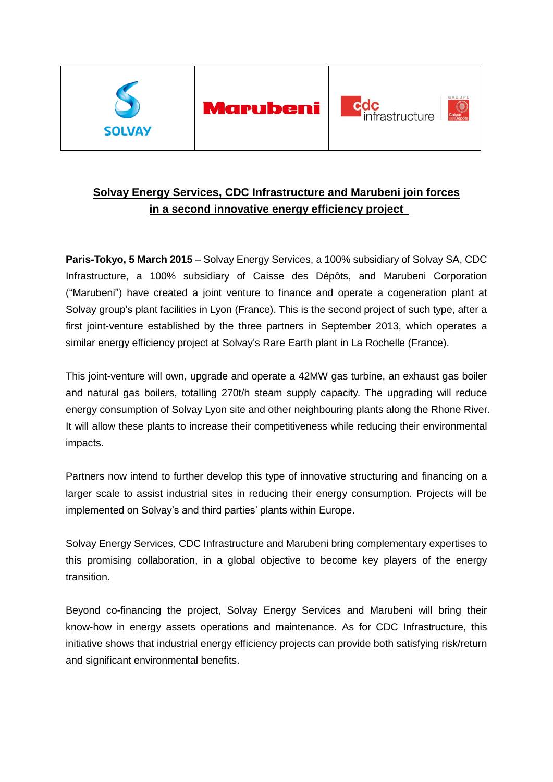

# **Solvay Energy Services, CDC Infrastructure and Marubeni join forces in a second innovative energy efficiency project**

**Paris-Tokyo, 5 March 2015** – Solvay Energy Services, a 100% subsidiary of Solvay SA, CDC Infrastructure, a 100% subsidiary of Caisse des Dépôts, and Marubeni Corporation ("Marubeni") have created a joint venture to finance and operate a cogeneration plant at Solvay group's plant facilities in Lyon (France). This is the second project of such type, after a first joint-venture established by the three partners in September 2013, which operates a similar energy efficiency project at Solvay's Rare Earth plant in La Rochelle (France).

This joint-venture will own, upgrade and operate a 42MW gas turbine, an exhaust gas boiler and natural gas boilers, totalling 270t/h steam supply capacity. The upgrading will reduce energy consumption of Solvay Lyon site and other neighbouring plants along the Rhone River. It will allow these plants to increase their competitiveness while reducing their environmental impacts.

Partners now intend to further develop this type of innovative structuring and financing on a larger scale to assist industrial sites in reducing their energy consumption. Projects will be implemented on Solvay's and third parties' plants within Europe.

Solvay Energy Services, CDC Infrastructure and Marubeni bring complementary expertises to this promising collaboration, in a global objective to become key players of the energy transition.

Beyond co-financing the project, Solvay Energy Services and Marubeni will bring their know-how in energy assets operations and maintenance. As for CDC Infrastructure, this initiative shows that industrial energy efficiency projects can provide both satisfying risk/return and significant environmental benefits.